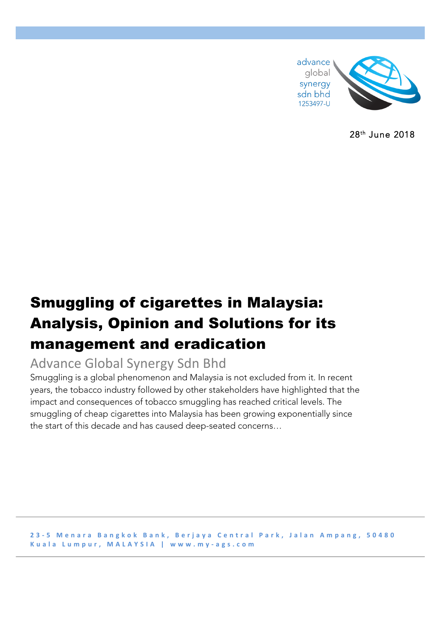

28th June 2018

# Smuggling of cigarettes in Malaysia: Analysis, Opinion and Solutions for its management and eradication

# Advance Global Synergy Sdn Bhd

Smuggling is a global phenomenon and Malaysia is not excluded from it. In recent years, the tobacco industry followed by other stakeholders have highlighted that the impact and consequences of tobacco smuggling has reached critical levels. The smuggling of cheap cigarettes into Malaysia has been growing exponentially since the start of this decade and has caused deep-seated concerns…

**2 3 - 5 Menara Bangkok Bank, Berjaya Central Park, Jalan Ampang, 50480 Kuala Lumpur, MALAYSIA | www.my - ags.com**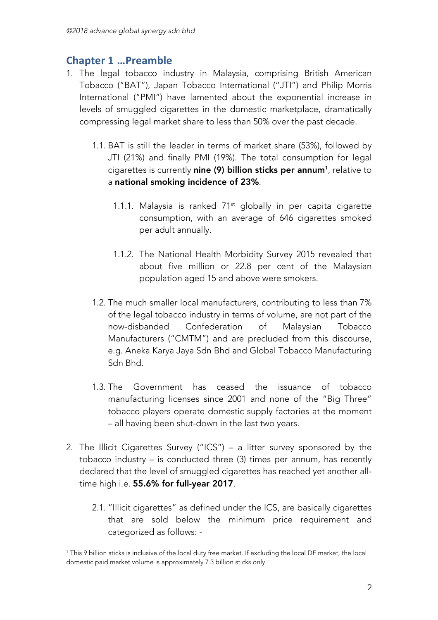# **Chapter 1 …Preamble**

 

- 1. The legal tobacco industry in Malaysia, comprising British American Tobacco ("BAT"), Japan Tobacco International ("JTI") and Philip Morris International ("PMI") have lamented about the exponential increase in levels of smuggled cigarettes in the domestic marketplace, dramatically compressing legal market share to less than 50% over the past decade.
	- 1.1. BAT is still the leader in terms of market share (53%), followed by JTI (21%) and finally PMI (19%). The total consumption for legal cigarettes is currently **nine (9) billion sticks per annum**1, relative to a national smoking incidence of 23%.
		- 1.1.1. Malaysia is ranked  $71<sup>st</sup>$  globally in per capita cigarette consumption, with an average of 646 cigarettes smoked per adult annually.
		- 1.1.2. The National Health Morbidity Survey 2015 revealed that about five million or 22.8 per cent of the Malaysian population aged 15 and above were smokers.
	- 1.2. The much smaller local manufacturers, contributing to less than 7% of the legal tobacco industry in terms of volume, are not part of the now-disbanded Confederation of Malaysian Tobacco Manufacturers ("CMTM") and are precluded from this discourse, e.g. Aneka Karya Jaya Sdn Bhd and Global Tobacco Manufacturing Sdn Bhd.
	- 1.3. The Government has ceased the issuance of tobacco manufacturing licenses since 2001 and none of the "Big Three" tobacco players operate domestic supply factories at the moment – all having been shut-down in the last two years.
- 2. The Illicit Cigarettes Survey ("ICS") a litter survey sponsored by the tobacco industry – is conducted three (3) times per annum, has recently declared that the level of smuggled cigarettes has reached yet another alltime high i.e. 55.6% for full-year 2017.
	- 2.1. "Illicit cigarettes" as defined under the ICS, are basically cigarettes that are sold below the minimum price requirement and categorized as follows: -

<sup>1</sup> This 9 billion sticks is inclusive of the local duty free market. If excluding the local DF market, the local domestic paid market volume is approximately 7.3 billion sticks only.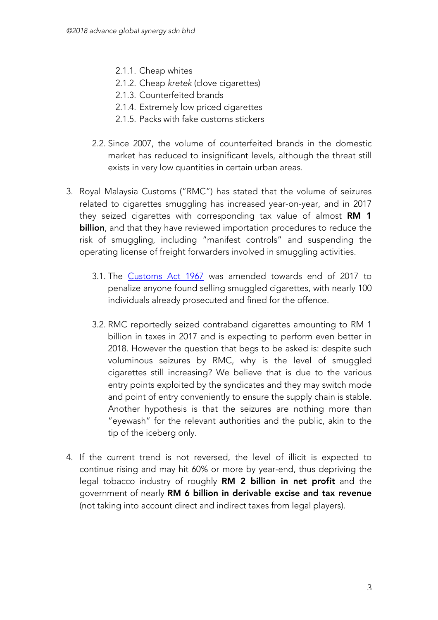- 2.1.1. Cheap whites
- 2.1.2. Cheap *kretek* (clove cigarettes)
- 2.1.3. Counterfeited brands
- 2.1.4. Extremely low priced cigarettes
- 2.1.5. Packs with fake customs stickers
- 2.2. Since 2007, the volume of counterfeited brands in the domestic market has reduced to insignificant levels, although the threat still exists in very low quantities in certain urban areas.
- 3. Royal Malaysia Customs ("RMC") has stated that the volume of seizures related to cigarettes smuggling has increased year-on-year, and in 2017 they seized cigarettes with corresponding tax value of almost RM 1 billion, and that they have reviewed importation procedures to reduce the risk of smuggling, including "manifest controls" and suspending the operating license of freight forwarders involved in smuggling activities.
	- 3.1. The Customs Act 1967 was amended towards end of 2017 to penalize anyone found selling smuggled cigarettes, with nearly 100 individuals already prosecuted and fined for the offence.
	- 3.2. RMC reportedly seized contraband cigarettes amounting to RM 1 billion in taxes in 2017 and is expecting to perform even better in 2018. However the question that begs to be asked is: despite such voluminous seizures by RMC, why is the level of smuggled cigarettes still increasing? We believe that is due to the various entry points exploited by the syndicates and they may switch mode and point of entry conveniently to ensure the supply chain is stable. Another hypothesis is that the seizures are nothing more than "eyewash" for the relevant authorities and the public, akin to the tip of the iceberg only.
- 4. If the current trend is not reversed, the level of illicit is expected to continue rising and may hit 60% or more by year-end, thus depriving the legal tobacco industry of roughly RM 2 billion in net profit and the government of nearly RM 6 billion in derivable excise and tax revenue (not taking into account direct and indirect taxes from legal players).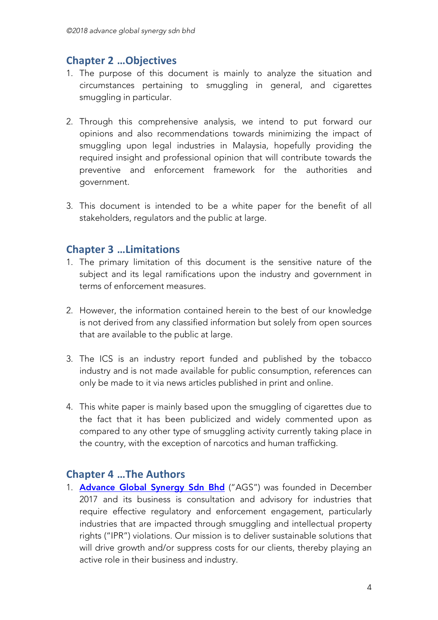# **Chapter 2 …Objectives**

- 1. The purpose of this document is mainly to analyze the situation and circumstances pertaining to smuggling in general, and cigarettes smuggling in particular.
- 2. Through this comprehensive analysis, we intend to put forward our opinions and also recommendations towards minimizing the impact of smuggling upon legal industries in Malaysia, hopefully providing the required insight and professional opinion that will contribute towards the preventive and enforcement framework for the authorities and government.
- 3. This document is intended to be a white paper for the benefit of all stakeholders, regulators and the public at large.

# **Chapter 3 …Limitations**

- 1. The primary limitation of this document is the sensitive nature of the subject and its legal ramifications upon the industry and government in terms of enforcement measures.
- 2. However, the information contained herein to the best of our knowledge is not derived from any classified information but solely from open sources that are available to the public at large.
- 3. The ICS is an industry report funded and published by the tobacco industry and is not made available for public consumption, references can only be made to it via news articles published in print and online.
- 4. This white paper is mainly based upon the smuggling of cigarettes due to the fact that it has been publicized and widely commented upon as compared to any other type of smuggling activity currently taking place in the country, with the exception of narcotics and human trafficking.

# **Chapter 4 …The Authors**

1. Advance Global Synergy Sdn Bhd ("AGS") was founded in December 2017 and its business is consultation and advisory for industries that require effective regulatory and enforcement engagement, particularly industries that are impacted through smuggling and intellectual property rights ("IPR") violations. Our mission is to deliver sustainable solutions that will drive growth and/or suppress costs for our clients, thereby playing an active role in their business and industry.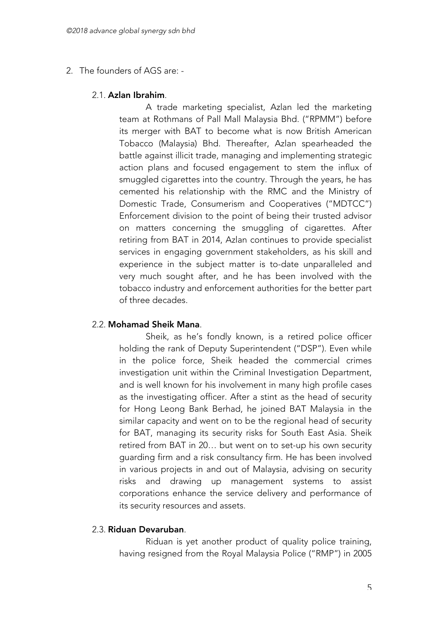### 2. The founders of AGS are: -

### 2.1. Azlan Ibrahim.

A trade marketing specialist, Azlan led the marketing team at Rothmans of Pall Mall Malaysia Bhd. ("RPMM") before its merger with BAT to become what is now British American Tobacco (Malaysia) Bhd. Thereafter, Azlan spearheaded the battle against illicit trade, managing and implementing strategic action plans and focused engagement to stem the influx of smuggled cigarettes into the country. Through the years, he has cemented his relationship with the RMC and the Ministry of Domestic Trade, Consumerism and Cooperatives ("MDTCC") Enforcement division to the point of being their trusted advisor on matters concerning the smuggling of cigarettes. After retiring from BAT in 2014, Azlan continues to provide specialist services in engaging government stakeholders, as his skill and experience in the subject matter is to-date unparalleled and very much sought after, and he has been involved with the tobacco industry and enforcement authorities for the better part of three decades.

### 2.2. Mohamad Sheik Mana.

Sheik, as he's fondly known, is a retired police officer holding the rank of Deputy Superintendent ("DSP"). Even while in the police force, Sheik headed the commercial crimes investigation unit within the Criminal Investigation Department, and is well known for his involvement in many high profile cases as the investigating officer. After a stint as the head of security for Hong Leong Bank Berhad, he joined BAT Malaysia in the similar capacity and went on to be the regional head of security for BAT, managing its security risks for South East Asia. Sheik retired from BAT in 20… but went on to set-up his own security guarding firm and a risk consultancy firm. He has been involved in various projects in and out of Malaysia, advising on security risks and drawing up management systems to assist corporations enhance the service delivery and performance of its security resources and assets.

### 2.3. Riduan Devaruban.

Riduan is yet another product of quality police training, having resigned from the Royal Malaysia Police ("RMP") in 2005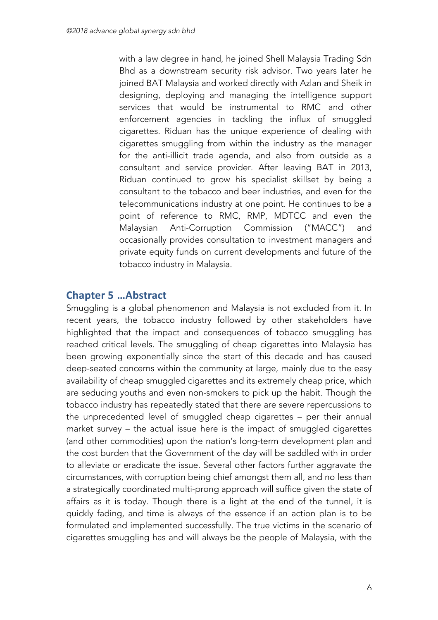with a law degree in hand, he joined Shell Malaysia Trading Sdn Bhd as a downstream security risk advisor. Two years later he joined BAT Malaysia and worked directly with Azlan and Sheik in designing, deploying and managing the intelligence support services that would be instrumental to RMC and other enforcement agencies in tackling the influx of smuggled cigarettes. Riduan has the unique experience of dealing with cigarettes smuggling from within the industry as the manager for the anti-illicit trade agenda, and also from outside as a consultant and service provider. After leaving BAT in 2013, Riduan continued to grow his specialist skillset by being a consultant to the tobacco and beer industries, and even for the telecommunications industry at one point. He continues to be a point of reference to RMC, RMP, MDTCC and even the Malaysian Anti-Corruption Commission ("MACC") and occasionally provides consultation to investment managers and private equity funds on current developments and future of the tobacco industry in Malaysia.

# **Chapter 5 …Abstract**

Smuggling is a global phenomenon and Malaysia is not excluded from it. In recent years, the tobacco industry followed by other stakeholders have highlighted that the impact and consequences of tobacco smuggling has reached critical levels. The smuggling of cheap cigarettes into Malaysia has been growing exponentially since the start of this decade and has caused deep-seated concerns within the community at large, mainly due to the easy availability of cheap smuggled cigarettes and its extremely cheap price, which are seducing youths and even non-smokers to pick up the habit. Though the tobacco industry has repeatedly stated that there are severe repercussions to the unprecedented level of smuggled cheap cigarettes – per their annual market survey – the actual issue here is the impact of smuggled cigarettes (and other commodities) upon the nation's long-term development plan and the cost burden that the Government of the day will be saddled with in order to alleviate or eradicate the issue. Several other factors further aggravate the circumstances, with corruption being chief amongst them all, and no less than a strategically coordinated multi-prong approach will suffice given the state of affairs as it is today. Though there is a light at the end of the tunnel, it is quickly fading, and time is always of the essence if an action plan is to be formulated and implemented successfully. The true victims in the scenario of cigarettes smuggling has and will always be the people of Malaysia, with the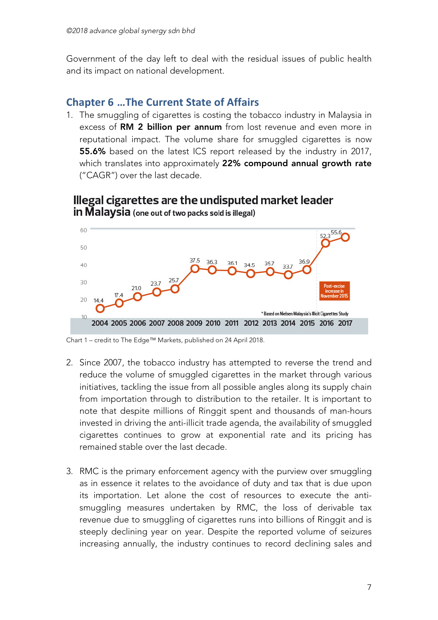Government of the day left to deal with the residual issues of public health and its impact on national development.

# **Chapter 6 ... The Current State of Affairs**

1. The smuggling of cigarettes is costing the tobacco industry in Malaysia in excess of RM 2 billion per annum from lost revenue and even more in reputational impact. The volume share for smuggled cigarettes is now 55.6% based on the latest ICS report released by the industry in 2017, which translates into approximately 22% compound annual growth rate ("CAGR") over the last decade.



Illegal cigarettes are the undisputed market leader **in Malaysia** (one out of two packs sold is illegal)

Chart 1 – credit to The Edge™ Markets, published on 24 April 2018.

- 2. Since 2007, the tobacco industry has attempted to reverse the trend and reduce the volume of smuggled cigarettes in the market through various initiatives, tackling the issue from all possible angles along its supply chain from importation through to distribution to the retailer. It is important to note that despite millions of Ringgit spent and thousands of man-hours invested in driving the anti-illicit trade agenda, the availability of smuggled cigarettes continues to grow at exponential rate and its pricing has remained stable over the last decade.
- 3. RMC is the primary enforcement agency with the purview over smuggling as in essence it relates to the avoidance of duty and tax that is due upon its importation. Let alone the cost of resources to execute the antismuggling measures undertaken by RMC, the loss of derivable tax revenue due to smuggling of cigarettes runs into billions of Ringgit and is steeply declining year on year. Despite the reported volume of seizures increasing annually, the industry continues to record declining sales and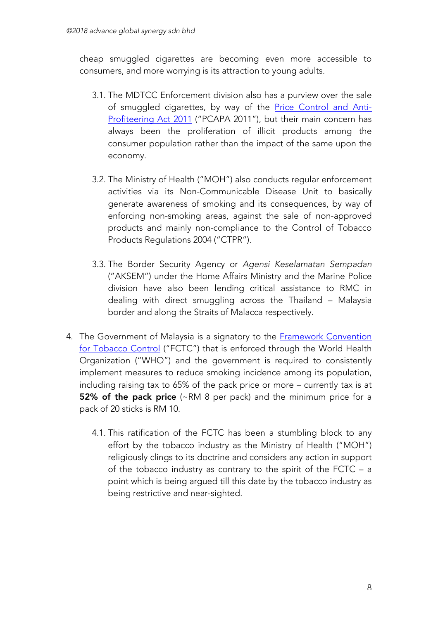cheap smuggled cigarettes are becoming even more accessible to consumers, and more worrying is its attraction to young adults.

- 3.1. The MDTCC Enforcement division also has a purview over the sale of smuggled cigarettes, by way of the Price Control and Anti-Profiteering Act 2011 ("PCAPA 2011"), but their main concern has always been the proliferation of illicit products among the consumer population rather than the impact of the same upon the economy.
- 3.2. The Ministry of Health ("MOH") also conducts regular enforcement activities via its Non-Communicable Disease Unit to basically generate awareness of smoking and its consequences, by way of enforcing non-smoking areas, against the sale of non-approved products and mainly non-compliance to the Control of Tobacco Products Regulations 2004 ("CTPR").
- 3.3. The Border Security Agency or *Agensi Keselamatan Sempadan*  ("AKSEM") under the Home Affairs Ministry and the Marine Police division have also been lending critical assistance to RMC in dealing with direct smuggling across the Thailand – Malaysia border and along the Straits of Malacca respectively.
- 4. The Government of Malaysia is a signatory to the Framework Convention for Tobacco Control ("FCTC") that is enforced through the World Health Organization ("WHO") and the government is required to consistently implement measures to reduce smoking incidence among its population, including raising tax to 65% of the pack price or more – currently tax is at 52% of the pack price (~RM 8 per pack) and the minimum price for a pack of 20 sticks is RM 10.
	- 4.1. This ratification of the FCTC has been a stumbling block to any effort by the tobacco industry as the Ministry of Health ("MOH") religiously clings to its doctrine and considers any action in support of the tobacco industry as contrary to the spirit of the FCTC – a point which is being argued till this date by the tobacco industry as being restrictive and near-sighted.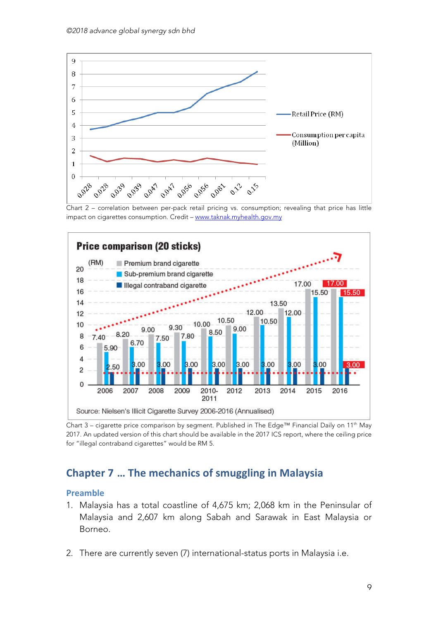

Chart 2 – correlation between per-pack retail pricing vs. consumption; revealing that price has little impact on cigarettes consumption. Credit – www.taknak.myhealth.gov.my



Chart 3 – cigarette price comparison by segment. Published in The Edge™ Financial Daily on 11th May 2017. An updated version of this chart should be available in the 2017 ICS report, where the ceiling price for "illegal contraband cigarettes" would be RM 5.

## **Chapter 7 ... The mechanics of smuggling in Malaysia**

#### **Preamble**

- 1. Malaysia has a total coastline of 4,675 km; 2,068 km in the Peninsular of Malaysia and 2,607 km along Sabah and Sarawak in East Malaysia or Borneo.
- 2. There are currently seven (7) international-status ports in Malaysia i.e.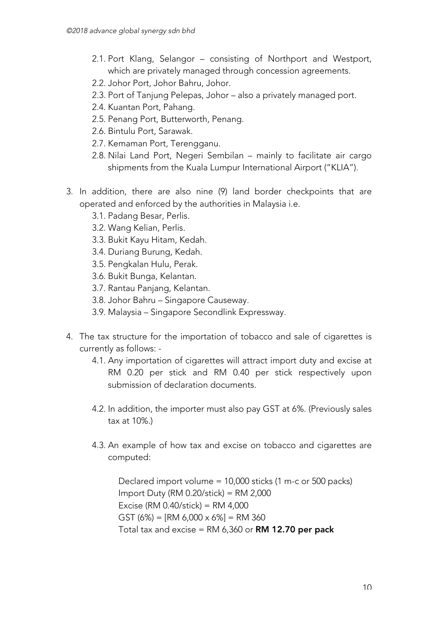- 2.1. Port Klang, Selangor consisting of Northport and Westport, which are privately managed through concession agreements.
- 2.2. Johor Port, Johor Bahru, Johor.
- 2.3. Port of Tanjung Pelepas, Johor also a privately managed port.
- 2.4. Kuantan Port, Pahang.
- 2.5. Penang Port, Butterworth, Penang.
- 2.6. Bintulu Port, Sarawak.
- 2.7. Kemaman Port, Terengganu.
- 2.8. Nilai Land Port, Negeri Sembilan mainly to facilitate air cargo shipments from the Kuala Lumpur International Airport ("KLIA").
- 3. In addition, there are also nine (9) land border checkpoints that are operated and enforced by the authorities in Malaysia i.e.
	- 3.1. Padang Besar, Perlis.
	- 3.2. Wang Kelian, Perlis.
	- 3.3. Bukit Kayu Hitam, Kedah.
	- 3.4. Duriang Burung, Kedah.
	- 3.5. Pengkalan Hulu, Perak.
	- 3.6. Bukit Bunga, Kelantan.
	- 3.7. Rantau Panjang, Kelantan.
	- 3.8. Johor Bahru Singapore Causeway.
	- 3.9. Malaysia Singapore Secondlink Expressway.
- 4. The tax structure for the importation of tobacco and sale of cigarettes is currently as follows: -
	- 4.1. Any importation of cigarettes will attract import duty and excise at RM 0.20 per stick and RM 0.40 per stick respectively upon submission of declaration documents.
	- 4.2. In addition, the importer must also pay GST at 6%. (Previously sales tax at 10%.)
	- 4.3. An example of how tax and excise on tobacco and cigarettes are computed:

Declared import volume = 10,000 sticks (1 m-c or 500 packs) Import Duty (RM 0.20/stick) = RM 2,000 Excise (RM 0.40/stick) = RM 4,000 GST (6%) = [RM 6,000  $\times$  6%] = RM 360 Total tax and excise =  $RM$  6,360 or  $RM$  12.70 per pack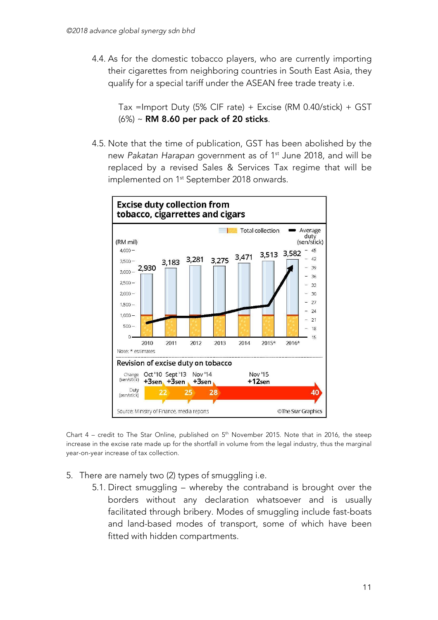4.4. As for the domestic tobacco players, who are currently importing their cigarettes from neighboring countries in South East Asia, they qualify for a special tariff under the ASEAN free trade treaty i.e.

Tax =Import Duty  $(5\%$  CIF rate) + Excise (RM 0.40/stick) + GST (6%) ~ RM 8.60 per pack of 20 sticks.

4.5. Note that the time of publication, GST has been abolished by the new *Pakatan Harapan* government as of 1st June 2018, and will be replaced by a revised Sales & Services Tax regime that will be implemented on 1<sup>st</sup> September 2018 onwards.



Chart  $4$  – credit to The Star Online, published on  $5<sup>th</sup>$  November 2015. Note that in 2016, the steep increase in the excise rate made up for the shortfall in volume from the legal industry, thus the marginal year-on-year increase of tax collection.

- 5. There are namely two (2) types of smuggling i.e.
	- 5.1. Direct smuggling whereby the contraband is brought over the borders without any declaration whatsoever and is usually facilitated through bribery. Modes of smuggling include fast-boats and land-based modes of transport, some of which have been fitted with hidden compartments.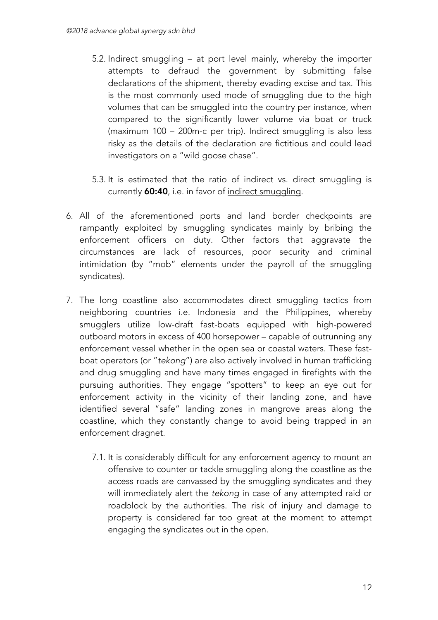- 5.2. Indirect smuggling at port level mainly, whereby the importer attempts to defraud the government by submitting false declarations of the shipment, thereby evading excise and tax. This is the most commonly used mode of smuggling due to the high volumes that can be smuggled into the country per instance, when compared to the significantly lower volume via boat or truck (maximum 100 – 200m-c per trip). Indirect smuggling is also less risky as the details of the declaration are fictitious and could lead investigators on a "wild goose chase".
- 5.3. It is estimated that the ratio of indirect vs. direct smuggling is currently 60:40, i.e. in favor of indirect smuggling.
- 6. All of the aforementioned ports and land border checkpoints are rampantly exploited by smuggling syndicates mainly by bribing the enforcement officers on duty. Other factors that aggravate the circumstances are lack of resources, poor security and criminal intimidation (by "mob" elements under the payroll of the smuggling syndicates).
- 7. The long coastline also accommodates direct smuggling tactics from neighboring countries i.e. Indonesia and the Philippines, whereby smugglers utilize low-draft fast-boats equipped with high-powered outboard motors in excess of 400 horsepower – capable of outrunning any enforcement vessel whether in the open sea or coastal waters. These fastboat operators (or "*tekong*") are also actively involved in human trafficking and drug smuggling and have many times engaged in firefights with the pursuing authorities. They engage "spotters" to keep an eye out for enforcement activity in the vicinity of their landing zone, and have identified several "safe" landing zones in mangrove areas along the coastline, which they constantly change to avoid being trapped in an enforcement dragnet.
	- 7.1. It is considerably difficult for any enforcement agency to mount an offensive to counter or tackle smuggling along the coastline as the access roads are canvassed by the smuggling syndicates and they will immediately alert the *tekong* in case of any attempted raid or roadblock by the authorities. The risk of injury and damage to property is considered far too great at the moment to attempt engaging the syndicates out in the open.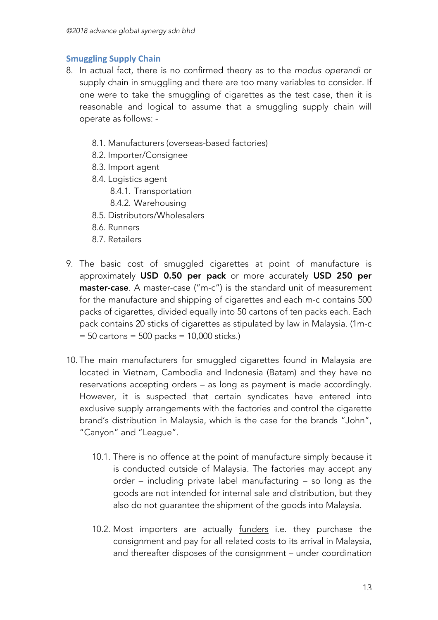### **Smuggling Supply Chain**

- 8. In actual fact, there is no confirmed theory as to the *modus operandi* or supply chain in smuggling and there are too many variables to consider. If one were to take the smuggling of cigarettes as the test case, then it is reasonable and logical to assume that a smuggling supply chain will operate as follows: -
	- 8.1. Manufacturers (overseas-based factories)
	- 8.2. Importer/Consignee
	- 8.3. Import agent
	- 8.4. Logistics agent
		- 8.4.1. Transportation
		- 8.4.2. Warehousing
	- 8.5. Distributors/Wholesalers
	- 8.6. Runners
	- 8.7. Retailers
- 9. The basic cost of smuggled cigarettes at point of manufacture is approximately USD 0.50 per pack or more accurately USD 250 per master-case. A master-case ("m-c") is the standard unit of measurement for the manufacture and shipping of cigarettes and each m-c contains 500 packs of cigarettes, divided equally into 50 cartons of ten packs each. Each pack contains 20 sticks of cigarettes as stipulated by law in Malaysia. (1m-c  $= 50$  cartons  $= 500$  packs  $= 10,000$  sticks.)
- 10. The main manufacturers for smuggled cigarettes found in Malaysia are located in Vietnam, Cambodia and Indonesia (Batam) and they have no reservations accepting orders – as long as payment is made accordingly. However, it is suspected that certain syndicates have entered into exclusive supply arrangements with the factories and control the cigarette brand's distribution in Malaysia, which is the case for the brands "John", "Canyon" and "League".
	- 10.1. There is no offence at the point of manufacture simply because it is conducted outside of Malaysia. The factories may accept any order – including private label manufacturing – so long as the goods are not intended for internal sale and distribution, but they also do not guarantee the shipment of the goods into Malaysia.
	- 10.2. Most importers are actually funders i.e. they purchase the consignment and pay for all related costs to its arrival in Malaysia, and thereafter disposes of the consignment – under coordination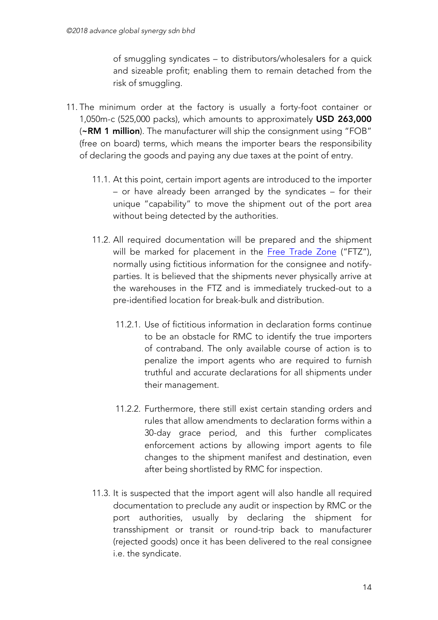of smuggling syndicates – to distributors/wholesalers for a quick and sizeable profit; enabling them to remain detached from the risk of smuggling.

- 11. The minimum order at the factory is usually a forty-foot container or 1,050m-c (525,000 packs), which amounts to approximately USD 263,000 (~RM 1 million). The manufacturer will ship the consignment using "FOB" (free on board) terms, which means the importer bears the responsibility of declaring the goods and paying any due taxes at the point of entry.
	- 11.1. At this point, certain import agents are introduced to the importer – or have already been arranged by the syndicates – for their unique "capability" to move the shipment out of the port area without being detected by the authorities.
	- 11.2. All required documentation will be prepared and the shipment will be marked for placement in the Free Trade Zone ("FTZ"), normally using fictitious information for the consignee and notifyparties. It is believed that the shipments never physically arrive at the warehouses in the FTZ and is immediately trucked-out to a pre-identified location for break-bulk and distribution.
		- 11.2.1. Use of fictitious information in declaration forms continue to be an obstacle for RMC to identify the true importers of contraband. The only available course of action is to penalize the import agents who are required to furnish truthful and accurate declarations for all shipments under their management.
		- 11.2.2. Furthermore, there still exist certain standing orders and rules that allow amendments to declaration forms within a 30-day grace period, and this further complicates enforcement actions by allowing import agents to file changes to the shipment manifest and destination, even after being shortlisted by RMC for inspection.
	- 11.3. It is suspected that the import agent will also handle all required documentation to preclude any audit or inspection by RMC or the port authorities, usually by declaring the shipment for transshipment or transit or round-trip back to manufacturer (rejected goods) once it has been delivered to the real consignee i.e. the syndicate.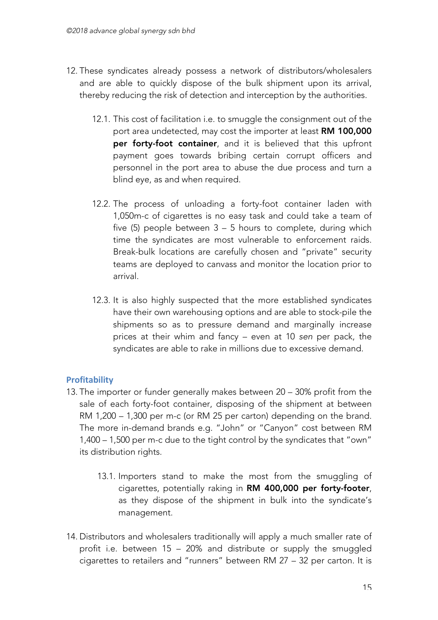- 12. These syndicates already possess a network of distributors/wholesalers and are able to quickly dispose of the bulk shipment upon its arrival, thereby reducing the risk of detection and interception by the authorities.
	- 12.1. This cost of facilitation i.e. to smuggle the consignment out of the port area undetected, may cost the importer at least RM 100,000 per forty-foot container, and it is believed that this upfront payment goes towards bribing certain corrupt officers and personnel in the port area to abuse the due process and turn a blind eye, as and when required.
	- 12.2. The process of unloading a forty-foot container laden with 1,050m-c of cigarettes is no easy task and could take a team of five (5) people between 3 – 5 hours to complete, during which time the syndicates are most vulnerable to enforcement raids. Break-bulk locations are carefully chosen and "private" security teams are deployed to canvass and monitor the location prior to arrival.
	- 12.3. It is also highly suspected that the more established syndicates have their own warehousing options and are able to stock-pile the shipments so as to pressure demand and marginally increase prices at their whim and fancy – even at 10 *sen* per pack, the syndicates are able to rake in millions due to excessive demand.

### **Profitability**

- 13. The importer or funder generally makes between 20 30% profit from the sale of each forty-foot container, disposing of the shipment at between RM 1,200 – 1,300 per m-c (or RM 25 per carton) depending on the brand. The more in-demand brands e.g. "John" or "Canyon" cost between RM 1,400 – 1,500 per m-c due to the tight control by the syndicates that "own" its distribution rights.
	- 13.1. Importers stand to make the most from the smuggling of cigarettes, potentially raking in RM 400,000 per forty-footer, as they dispose of the shipment in bulk into the syndicate's management.
- 14. Distributors and wholesalers traditionally will apply a much smaller rate of profit i.e. between 15 – 20% and distribute or supply the smuggled cigarettes to retailers and "runners" between RM 27 – 32 per carton. It is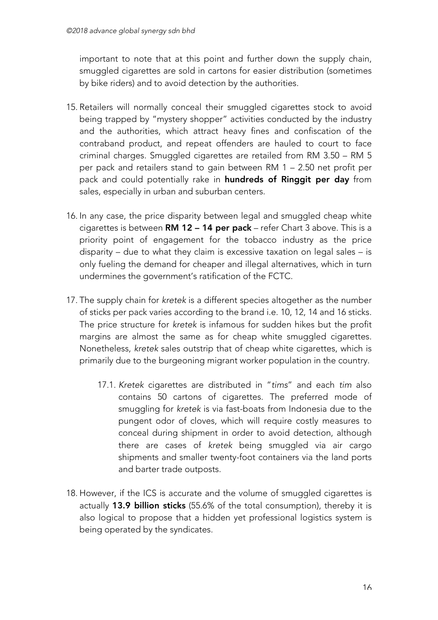important to note that at this point and further down the supply chain, smuggled cigarettes are sold in cartons for easier distribution (sometimes by bike riders) and to avoid detection by the authorities.

- 15. Retailers will normally conceal their smuggled cigarettes stock to avoid being trapped by "mystery shopper" activities conducted by the industry and the authorities, which attract heavy fines and confiscation of the contraband product, and repeat offenders are hauled to court to face criminal charges. Smuggled cigarettes are retailed from RM 3.50 – RM 5 per pack and retailers stand to gain between RM 1 – 2.50 net profit per pack and could potentially rake in hundreds of Ringgit per day from sales, especially in urban and suburban centers.
- 16. In any case, the price disparity between legal and smuggled cheap white cigarettes is between RM 12 – 14 per pack – refer Chart 3 above. This is a priority point of engagement for the tobacco industry as the price disparity – due to what they claim is excessive taxation on legal sales – is only fueling the demand for cheaper and illegal alternatives, which in turn undermines the government's ratification of the FCTC.
- 17. The supply chain for *kretek* is a different species altogether as the number of sticks per pack varies according to the brand i.e. 10, 12, 14 and 16 sticks. The price structure for *kretek* is infamous for sudden hikes but the profit margins are almost the same as for cheap white smuggled cigarettes. Nonetheless, *kretek* sales outstrip that of cheap white cigarettes, which is primarily due to the burgeoning migrant worker population in the country.
	- 17.1. *Kretek* cigarettes are distributed in "*tims*" and each *tim* also contains 50 cartons of cigarettes. The preferred mode of smuggling for *kretek* is via fast-boats from Indonesia due to the pungent odor of cloves, which will require costly measures to conceal during shipment in order to avoid detection, although there are cases of *kretek* being smuggled via air cargo shipments and smaller twenty-foot containers via the land ports and barter trade outposts.
- 18. However, if the ICS is accurate and the volume of smuggled cigarettes is actually 13.9 billion sticks (55.6% of the total consumption), thereby it is also logical to propose that a hidden yet professional logistics system is being operated by the syndicates.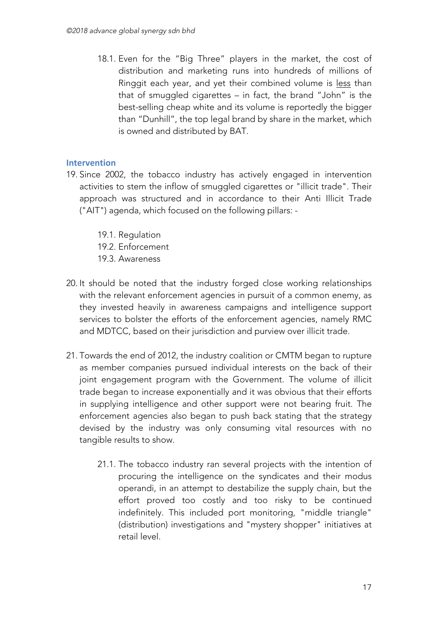18.1. Even for the "Big Three" players in the market, the cost of distribution and marketing runs into hundreds of millions of Ringgit each year, and yet their combined volume is less than that of smuggled cigarettes – in fact, the brand "John" is the best-selling cheap white and its volume is reportedly the bigger than "Dunhill", the top legal brand by share in the market, which is owned and distributed by BAT.

### **Intervention**

- 19. Since 2002, the tobacco industry has actively engaged in intervention activities to stem the inflow of smuggled cigarettes or "illicit trade". Their approach was structured and in accordance to their Anti Illicit Trade ("AIT") agenda, which focused on the following pillars: -
	- 19.1. Regulation
	- 19.2. Enforcement
	- 19.3. Awareness
- 20. It should be noted that the industry forged close working relationships with the relevant enforcement agencies in pursuit of a common enemy, as they invested heavily in awareness campaigns and intelligence support services to bolster the efforts of the enforcement agencies, namely RMC and MDTCC, based on their jurisdiction and purview over illicit trade.
- 21. Towards the end of 2012, the industry coalition or CMTM began to rupture as member companies pursued individual interests on the back of their joint engagement program with the Government. The volume of illicit trade began to increase exponentially and it was obvious that their efforts in supplying intelligence and other support were not bearing fruit. The enforcement agencies also began to push back stating that the strategy devised by the industry was only consuming vital resources with no tangible results to show.
	- 21.1. The tobacco industry ran several projects with the intention of procuring the intelligence on the syndicates and their modus operandi, in an attempt to destabilize the supply chain, but the effort proved too costly and too risky to be continued indefinitely. This included port monitoring, "middle triangle" (distribution) investigations and "mystery shopper" initiatives at retail level.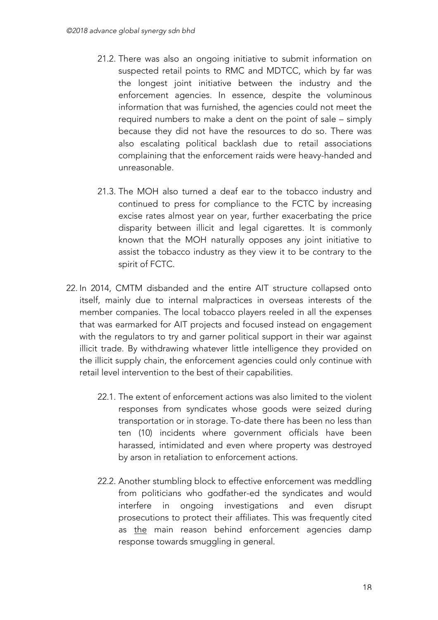- 21.2. There was also an ongoing initiative to submit information on suspected retail points to RMC and MDTCC, which by far was the longest joint initiative between the industry and the enforcement agencies. In essence, despite the voluminous information that was furnished, the agencies could not meet the required numbers to make a dent on the point of sale – simply because they did not have the resources to do so. There was also escalating political backlash due to retail associations complaining that the enforcement raids were heavy-handed and unreasonable.
- 21.3. The MOH also turned a deaf ear to the tobacco industry and continued to press for compliance to the FCTC by increasing excise rates almost year on year, further exacerbating the price disparity between illicit and legal cigarettes. It is commonly known that the MOH naturally opposes any joint initiative to assist the tobacco industry as they view it to be contrary to the spirit of FCTC.
- 22. In 2014, CMTM disbanded and the entire AIT structure collapsed onto itself, mainly due to internal malpractices in overseas interests of the member companies. The local tobacco players reeled in all the expenses that was earmarked for AIT projects and focused instead on engagement with the regulators to try and garner political support in their war against illicit trade. By withdrawing whatever little intelligence they provided on the illicit supply chain, the enforcement agencies could only continue with retail level intervention to the best of their capabilities.
	- 22.1. The extent of enforcement actions was also limited to the violent responses from syndicates whose goods were seized during transportation or in storage. To-date there has been no less than ten (10) incidents where government officials have been harassed, intimidated and even where property was destroyed by arson in retaliation to enforcement actions.
	- 22.2. Another stumbling block to effective enforcement was meddling from politicians who godfather-ed the syndicates and would interfere in ongoing investigations and even disrupt prosecutions to protect their affiliates. This was frequently cited as the main reason behind enforcement agencies damp response towards smuggling in general.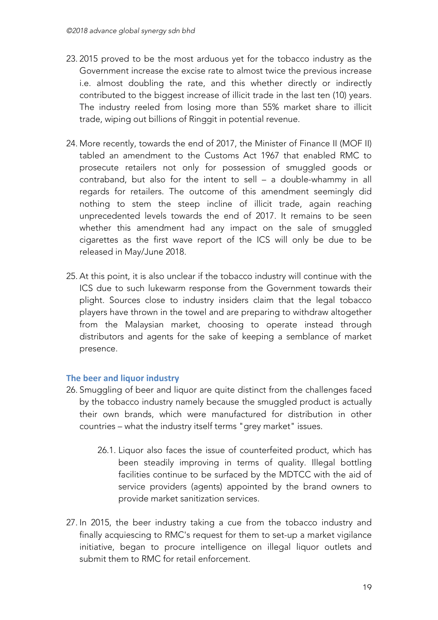- 23. 2015 proved to be the most arduous yet for the tobacco industry as the Government increase the excise rate to almost twice the previous increase i.e. almost doubling the rate, and this whether directly or indirectly contributed to the biggest increase of illicit trade in the last ten (10) years. The industry reeled from losing more than 55% market share to illicit trade, wiping out billions of Ringgit in potential revenue.
- 24. More recently, towards the end of 2017, the Minister of Finance II (MOF II) tabled an amendment to the Customs Act 1967 that enabled RMC to prosecute retailers not only for possession of smuggled goods or contraband, but also for the intent to sell – a double-whammy in all regards for retailers. The outcome of this amendment seemingly did nothing to stem the steep incline of illicit trade, again reaching unprecedented levels towards the end of 2017. It remains to be seen whether this amendment had any impact on the sale of smuggled cigarettes as the first wave report of the ICS will only be due to be released in May/June 2018.
- 25. At this point, it is also unclear if the tobacco industry will continue with the ICS due to such lukewarm response from the Government towards their plight. Sources close to industry insiders claim that the legal tobacco players have thrown in the towel and are preparing to withdraw altogether from the Malaysian market, choosing to operate instead through distributors and agents for the sake of keeping a semblance of market presence.

### **The beer and liquor industry**

- 26. Smuggling of beer and liquor are quite distinct from the challenges faced by the tobacco industry namely because the smuggled product is actually their own brands, which were manufactured for distribution in other countries – what the industry itself terms "grey market" issues.
	- 26.1. Liquor also faces the issue of counterfeited product, which has been steadily improving in terms of quality. Illegal bottling facilities continue to be surfaced by the MDTCC with the aid of service providers (agents) appointed by the brand owners to provide market sanitization services.
- 27. In 2015, the beer industry taking a cue from the tobacco industry and finally acquiescing to RMC's request for them to set-up a market vigilance initiative, began to procure intelligence on illegal liquor outlets and submit them to RMC for retail enforcement.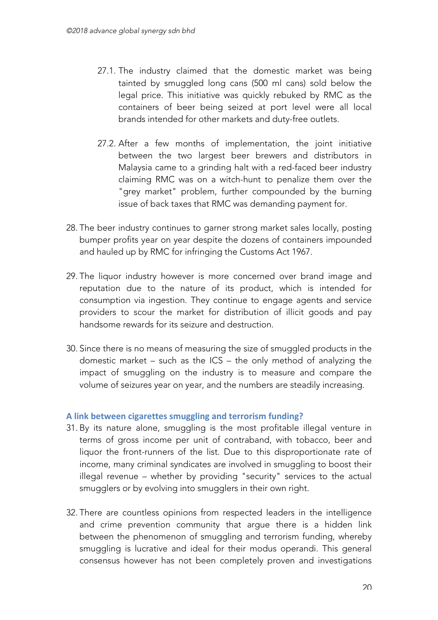- 27.1. The industry claimed that the domestic market was being tainted by smuggled long cans (500 ml cans) sold below the legal price. This initiative was quickly rebuked by RMC as the containers of beer being seized at port level were all local brands intended for other markets and duty-free outlets.
- 27.2. After a few months of implementation, the joint initiative between the two largest beer brewers and distributors in Malaysia came to a grinding halt with a red-faced beer industry claiming RMC was on a witch-hunt to penalize them over the "grey market" problem, further compounded by the burning issue of back taxes that RMC was demanding payment for.
- 28. The beer industry continues to garner strong market sales locally, posting bumper profits year on year despite the dozens of containers impounded and hauled up by RMC for infringing the Customs Act 1967.
- 29. The liquor industry however is more concerned over brand image and reputation due to the nature of its product, which is intended for consumption via ingestion. They continue to engage agents and service providers to scour the market for distribution of illicit goods and pay handsome rewards for its seizure and destruction.
- 30. Since there is no means of measuring the size of smuggled products in the domestic market – such as the ICS – the only method of analyzing the impact of smuggling on the industry is to measure and compare the volume of seizures year on year, and the numbers are steadily increasing.

#### **A link between cigarettes smuggling and terrorism funding?**

- 31. By its nature alone, smuggling is the most profitable illegal venture in terms of gross income per unit of contraband, with tobacco, beer and liquor the front-runners of the list. Due to this disproportionate rate of income, many criminal syndicates are involved in smuggling to boost their illegal revenue – whether by providing "security" services to the actual smugglers or by evolving into smugglers in their own right.
- 32. There are countless opinions from respected leaders in the intelligence and crime prevention community that argue there is a hidden link between the phenomenon of smuggling and terrorism funding, whereby smuggling is lucrative and ideal for their modus operandi. This general consensus however has not been completely proven and investigations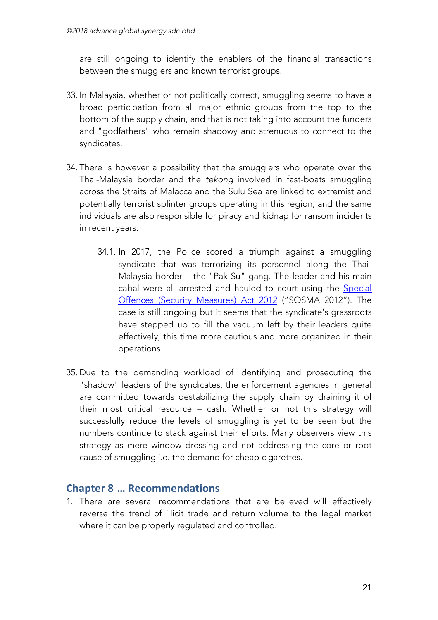are still ongoing to identify the enablers of the financial transactions between the smugglers and known terrorist groups.

- 33. In Malaysia, whether or not politically correct, smuggling seems to have a broad participation from all major ethnic groups from the top to the bottom of the supply chain, and that is not taking into account the funders and "godfathers" who remain shadowy and strenuous to connect to the syndicates.
- 34. There is however a possibility that the smugglers who operate over the Thai-Malaysia border and the *tekong* involved in fast-boats smuggling across the Straits of Malacca and the Sulu Sea are linked to extremist and potentially terrorist splinter groups operating in this region, and the same individuals are also responsible for piracy and kidnap for ransom incidents in recent years.
	- 34.1. In 2017, the Police scored a triumph against a smuggling syndicate that was terrorizing its personnel along the Thai-Malaysia border – the "Pak Su" gang. The leader and his main cabal were all arrested and hauled to court using the Special Offences (Security Measures) Act 2012 ("SOSMA 2012"). The case is still ongoing but it seems that the syndicate's grassroots have stepped up to fill the vacuum left by their leaders quite effectively, this time more cautious and more organized in their operations.
- 35. Due to the demanding workload of identifying and prosecuting the "shadow" leaders of the syndicates, the enforcement agencies in general are committed towards destabilizing the supply chain by draining it of their most critical resource – cash. Whether or not this strategy will successfully reduce the levels of smuggling is yet to be seen but the numbers continue to stack against their efforts. Many observers view this strategy as mere window dressing and not addressing the core or root cause of smuggling i.e. the demand for cheap cigarettes.

# **Chapter 8 … Recommendations**

1. There are several recommendations that are believed will effectively reverse the trend of illicit trade and return volume to the legal market where it can be properly regulated and controlled.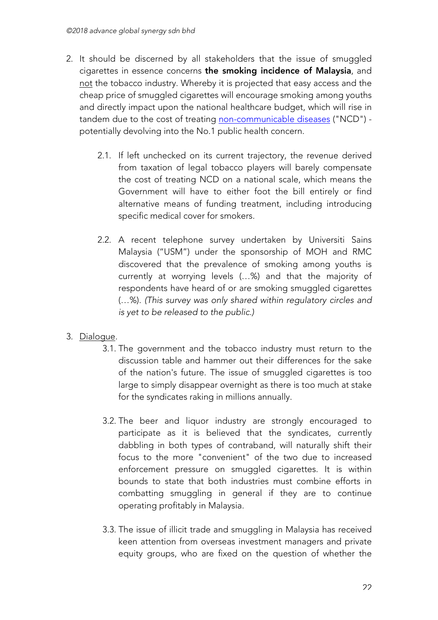- 2. It should be discerned by all stakeholders that the issue of smuggled cigarettes in essence concerns the smoking incidence of Malaysia, and not the tobacco industry. Whereby it is projected that easy access and the cheap price of smuggled cigarettes will encourage smoking among youths and directly impact upon the national healthcare budget, which will rise in tandem due to the cost of treating non-communicable diseases ("NCD") potentially devolving into the No.1 public health concern.
	- 2.1. If left unchecked on its current trajectory, the revenue derived from taxation of legal tobacco players will barely compensate the cost of treating NCD on a national scale, which means the Government will have to either foot the bill entirely or find alternative means of funding treatment, including introducing specific medical cover for smokers.
	- 2.2. A recent telephone survey undertaken by Universiti Sains Malaysia ("USM") under the sponsorship of MOH and RMC discovered that the prevalence of smoking among youths is currently at worrying levels (…%) and that the majority of respondents have heard of or are smoking smuggled cigarettes (…%). *(This survey was only shared within regulatory circles and is yet to be released to the public.)*

## 3. Dialogue.

- 3.1. The government and the tobacco industry must return to the discussion table and hammer out their differences for the sake of the nation's future. The issue of smuggled cigarettes is too large to simply disappear overnight as there is too much at stake for the syndicates raking in millions annually.
- 3.2. The beer and liquor industry are strongly encouraged to participate as it is believed that the syndicates, currently dabbling in both types of contraband, will naturally shift their focus to the more "convenient" of the two due to increased enforcement pressure on smuggled cigarettes. It is within bounds to state that both industries must combine efforts in combatting smuggling in general if they are to continue operating profitably in Malaysia.
- 3.3. The issue of illicit trade and smuggling in Malaysia has received keen attention from overseas investment managers and private equity groups, who are fixed on the question of whether the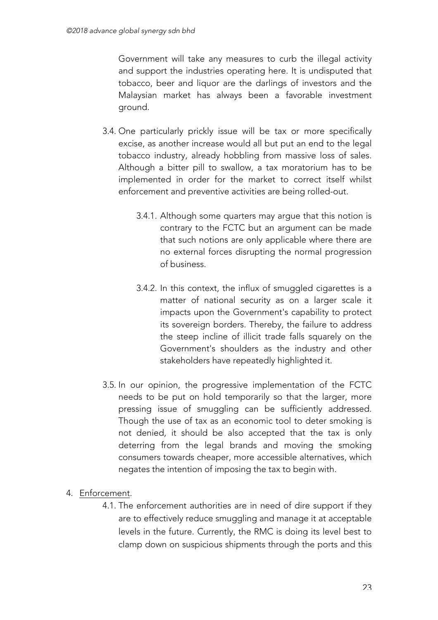Government will take any measures to curb the illegal activity and support the industries operating here. It is undisputed that tobacco, beer and liquor are the darlings of investors and the Malaysian market has always been a favorable investment ground.

- 3.4. One particularly prickly issue will be tax or more specifically excise, as another increase would all but put an end to the legal tobacco industry, already hobbling from massive loss of sales. Although a bitter pill to swallow, a tax moratorium has to be implemented in order for the market to correct itself whilst enforcement and preventive activities are being rolled-out.
	- 3.4.1. Although some quarters may argue that this notion is contrary to the FCTC but an argument can be made that such notions are only applicable where there are no external forces disrupting the normal progression of business.
	- 3.4.2. In this context, the influx of smuggled cigarettes is a matter of national security as on a larger scale it impacts upon the Government's capability to protect its sovereign borders. Thereby, the failure to address the steep incline of illicit trade falls squarely on the Government's shoulders as the industry and other stakeholders have repeatedly highlighted it.
- 3.5. In our opinion, the progressive implementation of the FCTC needs to be put on hold temporarily so that the larger, more pressing issue of smuggling can be sufficiently addressed. Though the use of tax as an economic tool to deter smoking is not denied, it should be also accepted that the tax is only deterring from the legal brands and moving the smoking consumers towards cheaper, more accessible alternatives, which negates the intention of imposing the tax to begin with.

### 4. Enforcement.

4.1. The enforcement authorities are in need of dire support if they are to effectively reduce smuggling and manage it at acceptable levels in the future. Currently, the RMC is doing its level best to clamp down on suspicious shipments through the ports and this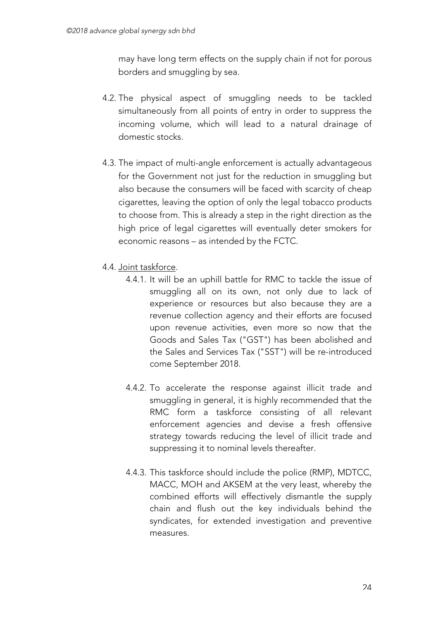may have long term effects on the supply chain if not for porous borders and smuggling by sea.

- 4.2. The physical aspect of smuggling needs to be tackled simultaneously from all points of entry in order to suppress the incoming volume, which will lead to a natural drainage of domestic stocks.
- 4.3. The impact of multi-angle enforcement is actually advantageous for the Government not just for the reduction in smuggling but also because the consumers will be faced with scarcity of cheap cigarettes, leaving the option of only the legal tobacco products to choose from. This is already a step in the right direction as the high price of legal cigarettes will eventually deter smokers for economic reasons – as intended by the FCTC.
- 4.4. Joint taskforce.
	- 4.4.1. It will be an uphill battle for RMC to tackle the issue of smuggling all on its own, not only due to lack of experience or resources but also because they are a revenue collection agency and their efforts are focused upon revenue activities, even more so now that the Goods and Sales Tax ("GST") has been abolished and the Sales and Services Tax ("SST") will be re-introduced come September 2018.
	- 4.4.2. To accelerate the response against illicit trade and smuggling in general, it is highly recommended that the RMC form a taskforce consisting of all relevant enforcement agencies and devise a fresh offensive strategy towards reducing the level of illicit trade and suppressing it to nominal levels thereafter.
	- 4.4.3. This taskforce should include the police (RMP), MDTCC, MACC, MOH and AKSEM at the very least, whereby the combined efforts will effectively dismantle the supply chain and flush out the key individuals behind the syndicates, for extended investigation and preventive measures.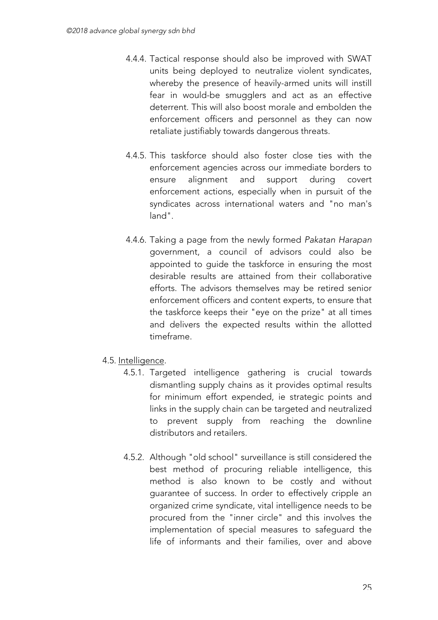- 4.4.4. Tactical response should also be improved with SWAT units being deployed to neutralize violent syndicates, whereby the presence of heavily-armed units will instill fear in would-be smugglers and act as an effective deterrent. This will also boost morale and embolden the enforcement officers and personnel as they can now retaliate justifiably towards dangerous threats.
- 4.4.5. This taskforce should also foster close ties with the enforcement agencies across our immediate borders to ensure alignment and support during covert enforcement actions, especially when in pursuit of the syndicates across international waters and "no man's land".
- 4.4.6. Taking a page from the newly formed *Pakatan Harapan* government, a council of advisors could also be appointed to guide the taskforce in ensuring the most desirable results are attained from their collaborative efforts. The advisors themselves may be retired senior enforcement officers and content experts, to ensure that the taskforce keeps their "eye on the prize" at all times and delivers the expected results within the allotted timeframe.
- 4.5. Intelligence.
	- 4.5.1. Targeted intelligence gathering is crucial towards dismantling supply chains as it provides optimal results for minimum effort expended, ie strategic points and links in the supply chain can be targeted and neutralized to prevent supply from reaching the downline distributors and retailers.
	- 4.5.2. Although "old school" surveillance is still considered the best method of procuring reliable intelligence, this method is also known to be costly and without guarantee of success. In order to effectively cripple an organized crime syndicate, vital intelligence needs to be procured from the "inner circle" and this involves the implementation of special measures to safeguard the life of informants and their families, over and above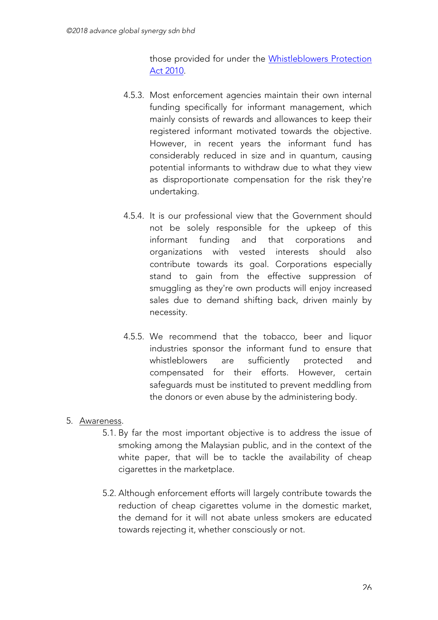those provided for under the Whistleblowers Protection Act 2010.

- 4.5.3. Most enforcement agencies maintain their own internal funding specifically for informant management, which mainly consists of rewards and allowances to keep their registered informant motivated towards the objective. However, in recent years the informant fund has considerably reduced in size and in quantum, causing potential informants to withdraw due to what they view as disproportionate compensation for the risk they're undertaking.
- 4.5.4. It is our professional view that the Government should not be solely responsible for the upkeep of this informant funding and that corporations and organizations with vested interests should also contribute towards its goal. Corporations especially stand to gain from the effective suppression of smuggling as they're own products will enjoy increased sales due to demand shifting back, driven mainly by necessity.
- 4.5.5. We recommend that the tobacco, beer and liquor industries sponsor the informant fund to ensure that whistleblowers are sufficiently protected and compensated for their efforts. However, certain safeguards must be instituted to prevent meddling from the donors or even abuse by the administering body.

### 5. Awareness.

- 5.1. By far the most important objective is to address the issue of smoking among the Malaysian public, and in the context of the white paper, that will be to tackle the availability of cheap cigarettes in the marketplace.
- 5.2. Although enforcement efforts will largely contribute towards the reduction of cheap cigarettes volume in the domestic market, the demand for it will not abate unless smokers are educated towards rejecting it, whether consciously or not.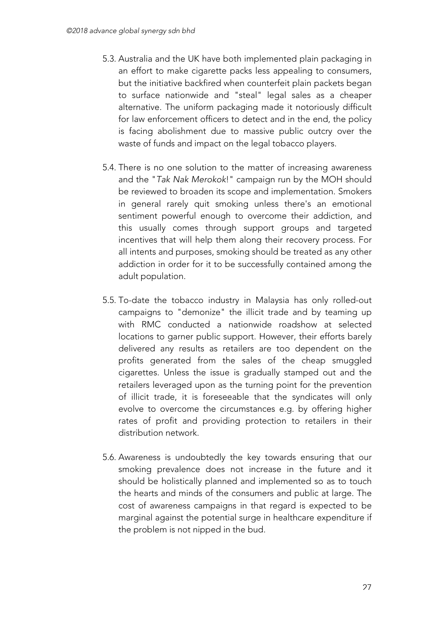- 5.3. Australia and the UK have both implemented plain packaging in an effort to make cigarette packs less appealing to consumers, but the initiative backfired when counterfeit plain packets began to surface nationwide and "steal" legal sales as a cheaper alternative. The uniform packaging made it notoriously difficult for law enforcement officers to detect and in the end, the policy is facing abolishment due to massive public outcry over the waste of funds and impact on the legal tobacco players.
- 5.4. There is no one solution to the matter of increasing awareness and the "*Tak Nak Merokok*!" campaign run by the MOH should be reviewed to broaden its scope and implementation. Smokers in general rarely quit smoking unless there's an emotional sentiment powerful enough to overcome their addiction, and this usually comes through support groups and targeted incentives that will help them along their recovery process. For all intents and purposes, smoking should be treated as any other addiction in order for it to be successfully contained among the adult population.
- 5.5. To-date the tobacco industry in Malaysia has only rolled-out campaigns to "demonize" the illicit trade and by teaming up with RMC conducted a nationwide roadshow at selected locations to garner public support. However, their efforts barely delivered any results as retailers are too dependent on the profits generated from the sales of the cheap smuggled cigarettes. Unless the issue is gradually stamped out and the retailers leveraged upon as the turning point for the prevention of illicit trade, it is foreseeable that the syndicates will only evolve to overcome the circumstances e.g. by offering higher rates of profit and providing protection to retailers in their distribution network.
- 5.6. Awareness is undoubtedly the key towards ensuring that our smoking prevalence does not increase in the future and it should be holistically planned and implemented so as to touch the hearts and minds of the consumers and public at large. The cost of awareness campaigns in that regard is expected to be marginal against the potential surge in healthcare expenditure if the problem is not nipped in the bud.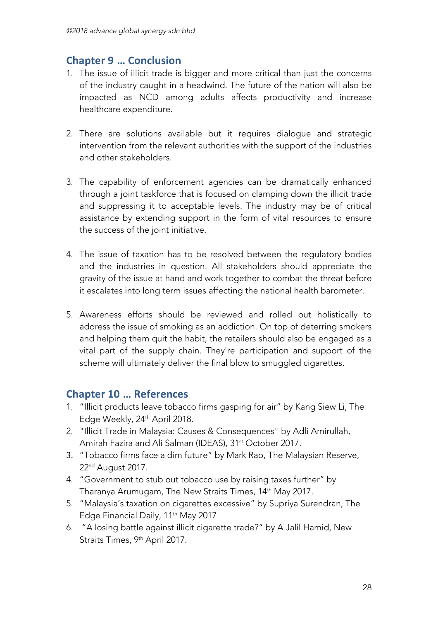# **Chapter 9 … Conclusion**

- 1. The issue of illicit trade is bigger and more critical than just the concerns of the industry caught in a headwind. The future of the nation will also be impacted as NCD among adults affects productivity and increase healthcare expenditure.
- 2. There are solutions available but it requires dialogue and strategic intervention from the relevant authorities with the support of the industries and other stakeholders.
- 3. The capability of enforcement agencies can be dramatically enhanced through a joint taskforce that is focused on clamping down the illicit trade and suppressing it to acceptable levels. The industry may be of critical assistance by extending support in the form of vital resources to ensure the success of the joint initiative.
- 4. The issue of taxation has to be resolved between the regulatory bodies and the industries in question. All stakeholders should appreciate the gravity of the issue at hand and work together to combat the threat before it escalates into long term issues affecting the national health barometer.
- 5. Awareness efforts should be reviewed and rolled out holistically to address the issue of smoking as an addiction. On top of deterring smokers and helping them quit the habit, the retailers should also be engaged as a vital part of the supply chain. They're participation and support of the scheme will ultimately deliver the final blow to smuggled cigarettes.

# **Chapter 10 … References**

- 1. "Illicit products leave tobacco firms gasping for air" by Kang Siew Li, The Edge Weekly, 24th April 2018.
- 2. "Illicit Trade in Malaysia: Causes & Consequences" by Adli Amirullah, Amirah Fazira and Ali Salman (IDEAS), 31<sup>st</sup> October 2017.
- 3. "Tobacco firms face a dim future" by Mark Rao, The Malaysian Reserve, 22nd August 2017.
- 4. "Government to stub out tobacco use by raising taxes further" by Tharanya Arumugam, The New Straits Times, 14<sup>th</sup> May 2017.
- 5. "Malaysia's taxation on cigarettes excessive" by Supriya Surendran, The Edge Financial Daily, 11<sup>th</sup> May 2017
- 6. "A losing battle against illicit cigarette trade?" by A Jalil Hamid, New Straits Times, 9<sup>th</sup> April 2017.